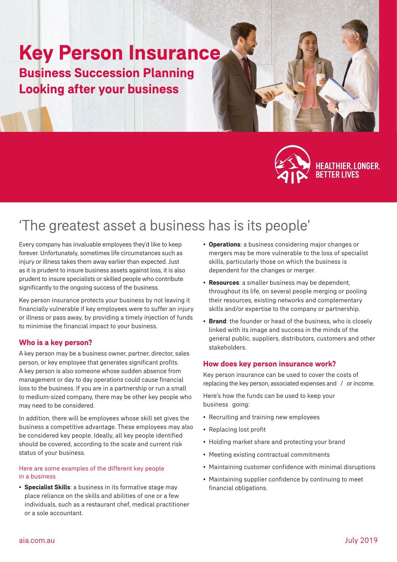# **Key Person Insurance Business Succession Planning Looking after your business**



HEALTHIER, LONGER,<br>BETTER LIVES

## 'The greatest asset a business has is its people'

Every company has invaluable employees they'd like to keep forever. Unfortunately, sometimes life circumstances such as injury or illness takes them away earlier than expected. Just as it is prudent to insure business assets against loss, it is also prudent to insure specialists or skilled people who contribute significantly to the ongoing success of the business.

Key person insurance protects your business by not leaving it financially vulnerable if key employees were to suffer an injury or illness or pass away, by providing a timely injection of funds to minimise the financial impact to your business.

## **Who is a key person?**

A key person may be a business owner, partner, director, sales person, or key employee that generates significant profits. A key person is also someone whose sudden absence from management or day to day operations could cause financial loss to the business. If you are in a partnership or run a small to medium-sized company, there may be other key people who may need to be considered.

In addition, there will be employees whose skill set gives the business a competitive advantage. These employees may also be considered key people. Ideally, all key people identified should be covered, according to the scale and current risk status of your business.

## Here are some examples of the different key people in a business

• **Specialist Skills**: a business in its formative stage may place reliance on the skills and abilities of one or a few individuals, such as a restaurant chef, medical practitioner or a sole accountant.

- **Operations**: a business considering major changes or mergers may be more vulnerable to the loss of specialist skills, particularly those on which the business is dependent for the changes or merger.
- **Resources**: a smaller business may be dependent, throughout its life, on several people merging or pooling their resources, existing networks and complementary skills and/or expertise to the company or partnership.
- **Brand**: the founder or head of the business, who is closely linked with its image and success in the minds of the general public, suppliers, distributors, customers and other stakeholders.

## **How does key person insurance work?**

Key person insurance can be used to cover the costs of replacing the key person, associated expenses and / or income.

Here's how the funds can be used to keep your business going:

- Recruiting and training new employees
- Replacing lost profit
- Holding market share and protecting your brand
- Meeting existing contractual commitments
- Maintaining customer confidence with minimal disruptions
- Maintaining supplier confidence by continuing to meet financial obligations.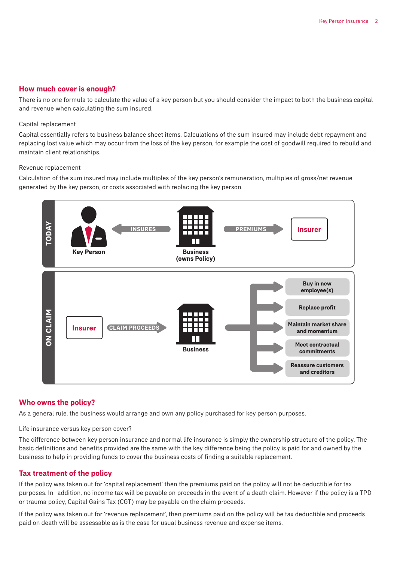## **How much cover is enough?**

There is no one formula to calculate the value of a key person but you should consider the impact to both the business capital and revenue when calculating the sum insured.

#### Capital replacement

Capital essentially refers to business balance sheet items. Calculations of the sum insured may include debt repayment and replacing lost value which may occur from the loss of the key person, for example the cost of goodwill required to rebuild and maintain client relationships.

#### Revenue replacement

Calculation of the sum insured may include multiples of the key person's remuneration, multiples of gross/net revenue generated by the key person, or costs associated with replacing the key person.



## **Who owns the policy?**

As a general rule, the business would arrange and own any policy purchased for key person purposes.

#### Life insurance versus key person cover?

The difference between key person insurance and normal life insurance is simply the ownership structure of the policy. The basic definitions and benefits provided are the same with the key difference being the policy is paid for and owned by the business to help in providing funds to cover the business costs of finding a suitable replacement.

## **Tax treatment of the policy**

If the policy was taken out for 'capital replacement' then the premiums paid on the policy will not be deductible for tax purposes. In addition, no income tax will be payable on proceeds in the event of a death claim. However if the policy is a TPD or trauma policy, Capital Gains Tax (CGT) may be payable on the claim proceeds.

If the policy was taken out for 'revenue replacement', then premiums paid on the policy will be tax deductible and proceeds paid on death will be assessable as is the case for usual business revenue and expense items.